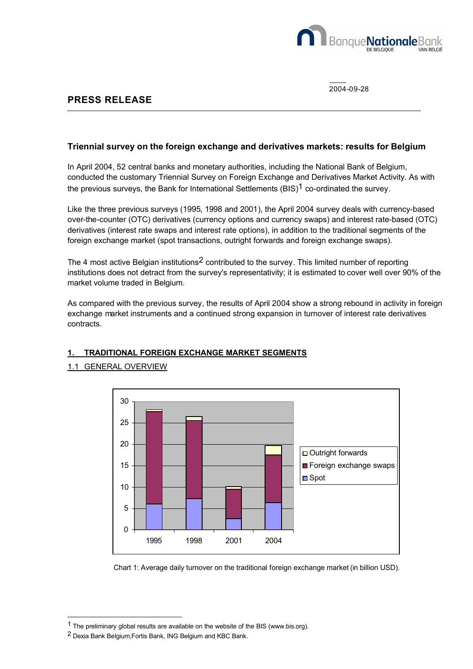

2004-09-28

## **PRESS RELEASE**

#### **Triennial survey on the foreign exchange and derivatives markets: results for Belgium**

In April 2004, 52 central banks and monetary authorities, including the National Bank of Belgium, conducted the customary Triennial Survey on Foreign Exchange and Derivatives Market Activity. As with the previous surveys, the Bank for International Settlements  $(BIS)^1$  co-ordinated the survey.

Like the three previous surveys (1995, 1998 and 2001), the April 2004 survey deals with currency-based over-the-counter (OTC) derivatives (currency options and currency swaps) and interest rate-based (OTC) derivatives (interest rate swaps and interest rate options), in addition to the traditional segments of the foreign exchange market (spot transactions, outright forwards and foreign exchange swaps).

The 4 most active Belgian institutions<sup>2</sup> contributed to the survey. This limited number of reporting institutions does not detract from the survey's representativity; it is estimated to cover well over 90% of the market volume traded in Belgium.

As compared with the previous survey, the results of April 2004 show a strong rebound in activity in foreign exchange market instruments and a continued strong expansion in turnover of interest rate derivatives contracts.

# $\Omega$ 5 10 15 20 25 30 1995 1998 2001 2004 □ Outright forwards Foreign exchange swaps ■ Spot

## **1. TRADITIONAL FOREIGN EXCHANGE MARKET SEGMENTS**

## 1.1 GENERAL OVERVIEW

Chart 1: Average daily turnover on the traditional foreign exchange market (in billion USD).

l

<sup>1</sup> The preliminary global results are available on the website of the BIS (www.bis.org).

<sup>2</sup> Dexia Bank Belgium,Fortis Bank, ING Belgium and KBC Bank.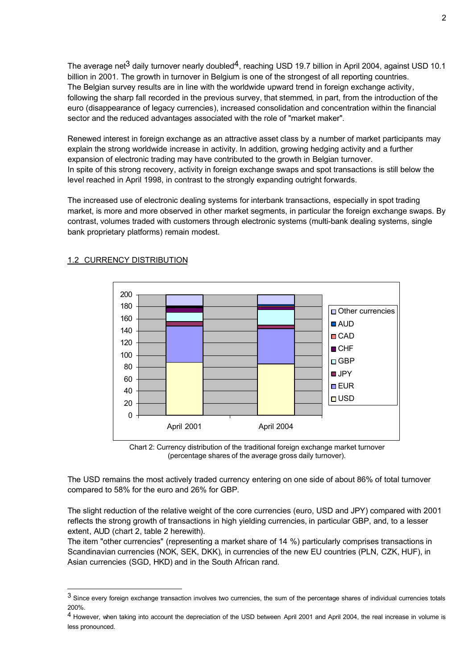The average net<sup>3</sup> daily turnover nearly doubled<sup>4</sup>, reaching USD 19.7 billion in April 2004, against USD 10.1 billion in 2001. The growth in turnover in Belgium is one of the strongest of all reporting countries. The Belgian survey results are in line with the worldwide upward trend in foreign exchange activity, following the sharp fall recorded in the previous survey, that stemmed, in part, from the introduction of the euro (disappearance of legacy currencies), increased consolidation and concentration within the financial sector and the reduced advantages associated with the role of "market maker".

Renewed interest in foreign exchange as an attractive asset class by a number of market participants may explain the strong worldwide increase in activity. In addition, growing hedging activity and a further expansion of electronic trading may have contributed to the growth in Belgian turnover. In spite of this strong recovery, activity in foreign exchange swaps and spot transactions is still below the level reached in April 1998, in contrast to the strongly expanding outright forwards.

The increased use of electronic dealing systems for interbank transactions, especially in spot trading market, is more and more observed in other market segments, in particular the foreign exchange swaps. By contrast, volumes traded with customers through electronic systems (multi-bank dealing systems, single bank proprietary platforms) remain modest.



#### 1.2 CURRENCY DISTRIBUTION

l

Chart 2: Currency distribution of the traditional foreign exchange market turnover (percentage shares of the average gross daily turnover).

The USD remains the most actively traded currency entering on one side of about 86% of total turnover compared to 58% for the euro and 26% for GBP.

The slight reduction of the relative weight of the core currencies (euro, USD and JPY) compared with 2001 reflects the strong growth of transactions in high yielding currencies, in particular GBP, and, to a lesser extent, AUD (chart 2, table 2 herewith).

The item "other currencies" (representing a market share of 14 %) particularly comprises transactions in Scandinavian currencies (NOK, SEK, DKK), in currencies of the new EU countries (PLN, CZK, HUF), in Asian currencies (SGD, HKD) and in the South African rand.

<sup>3</sup> Since every foreign exchange transaction involves two currencies, the sum of the percentage shares of individual currencies totals 200%.

<sup>4</sup> However, when taking into account the depreciation of the USD between April 2001 and April 2004, the real increase in volume is less pronounced.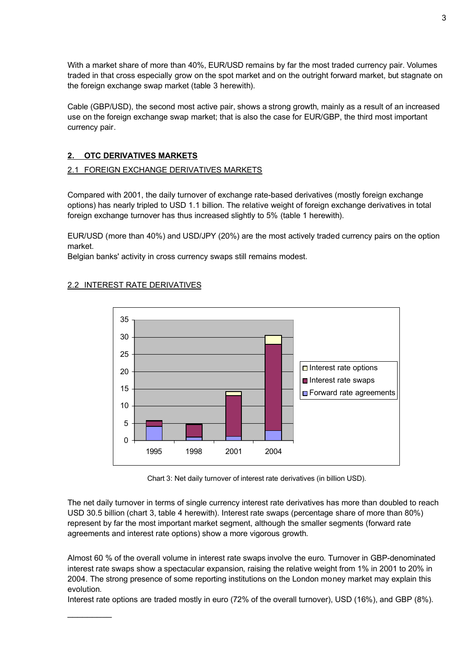With a market share of more than 40%, EUR/USD remains by far the most traded currency pair. Volumes traded in that cross especially grow on the spot market and on the outright forward market, but stagnate on the foreign exchange swap market (table 3 herewith).

Cable (GBP/USD), the second most active pair, shows a strong growth, mainly as a result of an increased use on the foreign exchange swap market; that is also the case for EUR/GBP, the third most important currency pair.

## **2. OTC DERIVATIVES MARKETS**

#### 2.1 FOREIGN EXCHANGE DERIVATIVES MARKETS

Compared with 2001, the daily turnover of exchange rate-based derivatives (mostly foreign exchange options) has nearly tripled to USD 1.1 billion. The relative weight of foreign exchange derivatives in total foreign exchange turnover has thus increased slightly to 5% (table 1 herewith).

EUR/USD (more than 40%) and USD/JPY (20%) are the most actively traded currency pairs on the option market.

Belgian banks' activity in cross currency swaps still remains modest.



#### 2.2 INTEREST RATE DERIVATIVES

 $\mathcal{L}$  . The set of  $\mathcal{L}$ 

Chart 3: Net daily turnover of interest rate derivatives (in billion USD).

The net daily turnover in terms of single currency interest rate derivatives has more than doubled to reach USD 30.5 billion (chart 3, table 4 herewith). Interest rate swaps (percentage share of more than 80%) represent by far the most important market segment, although the smaller segments (forward rate agreements and interest rate options) show a more vigorous growth.

Almost 60 % of the overall volume in interest rate swaps involve the euro. Turnover in GBP-denominated interest rate swaps show a spectacular expansion, raising the relative weight from 1% in 2001 to 20% in 2004. The strong presence of some reporting institutions on the London money market may explain this evolution.

Interest rate options are traded mostly in euro (72% of the overall turnover), USD (16%), and GBP (8%).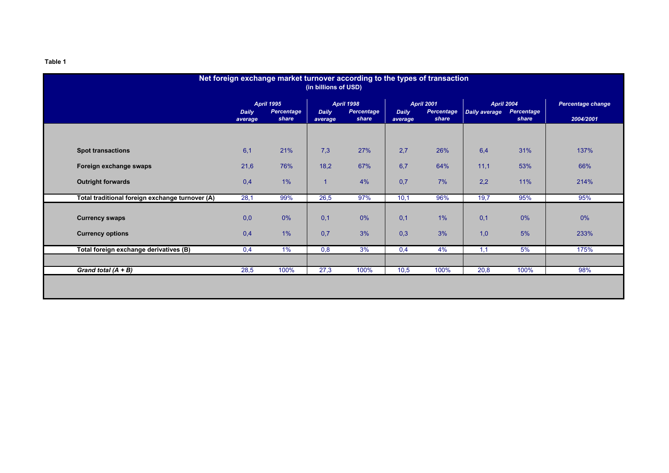| Net foreign exchange market turnover according to the types of transaction<br>(in billions of USD) |                         |                                          |                |                                                                     |      |                                                                                             |      |                                          |                                       |  |
|----------------------------------------------------------------------------------------------------|-------------------------|------------------------------------------|----------------|---------------------------------------------------------------------|------|---------------------------------------------------------------------------------------------|------|------------------------------------------|---------------------------------------|--|
|                                                                                                    | <b>Daily</b><br>average | <b>April 1995</b><br>Percentage<br>share |                | <b>April 1998</b><br>Percentage<br><b>Daily</b><br>share<br>average |      | <b>April 2001</b><br><b>Percentage</b><br>Daily average<br><b>Daily</b><br>share<br>average |      | <b>April 2004</b><br>Percentage<br>share | <b>Percentage change</b><br>2004/2001 |  |
|                                                                                                    |                         |                                          |                |                                                                     |      |                                                                                             |      |                                          |                                       |  |
| <b>Spot transactions</b>                                                                           | 6,1                     | 21%                                      | 7,3            | 27%                                                                 | 2,7  | 26%                                                                                         | 6,4  | 31%                                      | 137%                                  |  |
| Foreign exchange swaps                                                                             | 21,6                    | 76%                                      | 18,2           | 67%                                                                 | 6,7  | 64%                                                                                         | 11,1 | 53%                                      | 66%                                   |  |
| <b>Outright forwards</b>                                                                           | 0,4                     | 1%                                       | $\overline{1}$ | 4%                                                                  | 0,7  | 7%                                                                                          | 2,2  | 11%                                      | 214%                                  |  |
| Total traditional foreign exchange turnover (A)                                                    | 28,1                    | 99%                                      | 26,5           | 97%                                                                 | 10,1 | 96%                                                                                         | 19,7 | 95%                                      | 95%                                   |  |
| <b>Currency swaps</b>                                                                              | 0,0                     | 0%                                       | 0,1            | 0%                                                                  | 0,1  | 1%                                                                                          | 0,1  | 0%                                       | 0%                                    |  |
| <b>Currency options</b>                                                                            | 0,4                     | $1\%$                                    | 0,7            | 3%                                                                  | 0,3  | 3%                                                                                          | 1,0  | 5%                                       | 233%                                  |  |
| Total foreign exchange derivatives (B)                                                             | 0,4                     | 1%                                       | 0,8            | 3%                                                                  | 0,4  | 4%                                                                                          | 1,1  | 5%                                       | 175%                                  |  |
|                                                                                                    |                         |                                          |                |                                                                     |      |                                                                                             |      |                                          |                                       |  |
| Grand total $(A + B)$                                                                              | 28,5                    | 100%                                     | 27,3           | 100%                                                                | 10,5 | 100%                                                                                        | 20,8 | 100%                                     | 98%                                   |  |
|                                                                                                    |                         |                                          |                |                                                                     |      |                                                                                             |      |                                          |                                       |  |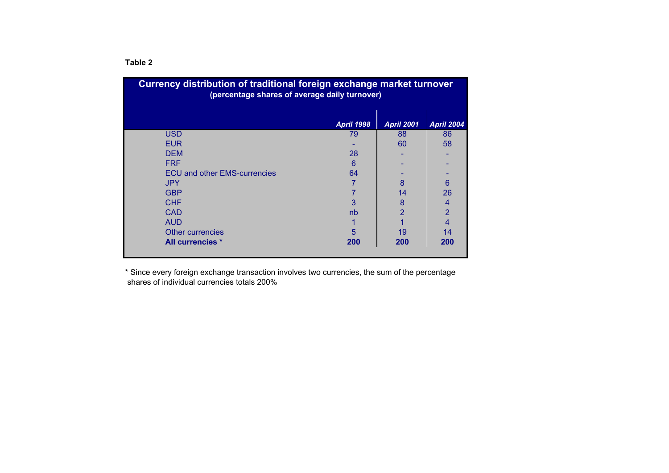| <b>Currency distribution of traditional foreign exchange market turnover</b><br>(percentage shares of average daily turnover) |                   |                   |                |  |  |  |  |  |  |
|-------------------------------------------------------------------------------------------------------------------------------|-------------------|-------------------|----------------|--|--|--|--|--|--|
|                                                                                                                               | <b>April 1998</b> | <b>April 2001</b> | April 2004     |  |  |  |  |  |  |
| <b>USD</b>                                                                                                                    | 79                | 88                | 86             |  |  |  |  |  |  |
| <b>EUR</b>                                                                                                                    |                   | 60                | 58             |  |  |  |  |  |  |
| <b>DEM</b>                                                                                                                    | 28                |                   |                |  |  |  |  |  |  |
| <b>FRF</b>                                                                                                                    | 6                 |                   |                |  |  |  |  |  |  |
| <b>ECU and other EMS-currencies</b>                                                                                           | 64                |                   |                |  |  |  |  |  |  |
| <b>JPY</b>                                                                                                                    |                   | 8                 | 6              |  |  |  |  |  |  |
| <b>GBP</b>                                                                                                                    |                   | 14                | 26             |  |  |  |  |  |  |
| <b>CHF</b>                                                                                                                    | 3                 | 8                 | $\overline{4}$ |  |  |  |  |  |  |
| <b>CAD</b>                                                                                                                    | nb                | $\overline{2}$    | $\overline{2}$ |  |  |  |  |  |  |
| <b>AUD</b>                                                                                                                    |                   |                   |                |  |  |  |  |  |  |
| Other currencies                                                                                                              | 5                 | 19                | 14             |  |  |  |  |  |  |
| All currencies *                                                                                                              | 200               | 200               | 200            |  |  |  |  |  |  |
|                                                                                                                               |                   |                   |                |  |  |  |  |  |  |

\* Since every foreign exchange transaction involves two currencies, the sum of the percentage shares of individual currencies totals 200%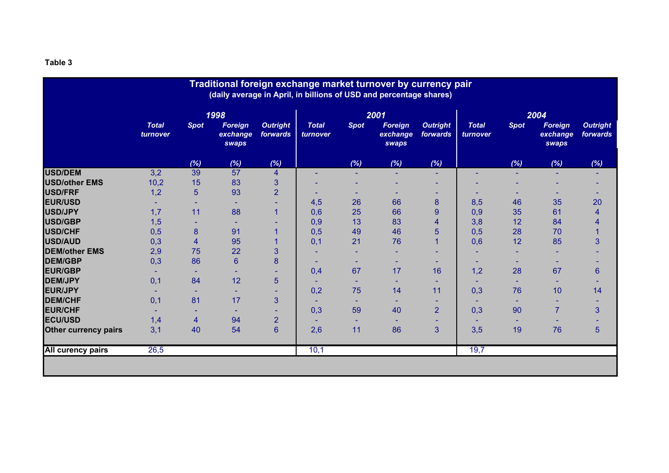| Traditional foreign exchange market turnover by currency pair<br>(daily average in April, in billions of USD and percentage shares) |                          |             |                                     |                             |                          |             |                                     |                             |                          |             |                                     |                             |
|-------------------------------------------------------------------------------------------------------------------------------------|--------------------------|-------------|-------------------------------------|-----------------------------|--------------------------|-------------|-------------------------------------|-----------------------------|--------------------------|-------------|-------------------------------------|-----------------------------|
|                                                                                                                                     |                          | 1998        |                                     |                             | 2001                     |             |                                     |                             | 2004                     |             |                                     |                             |
|                                                                                                                                     | <b>Total</b><br>turnover | <b>Spot</b> | <b>Foreign</b><br>exchange<br>swaps | <b>Outright</b><br>forwards | <b>Total</b><br>turnover | <b>Spot</b> | <b>Foreign</b><br>exchange<br>swaps | <b>Outright</b><br>forwards | <b>Total</b><br>turnover | <b>Spot</b> | <b>Foreign</b><br>exchange<br>swaps | <b>Outright</b><br>forwards |
|                                                                                                                                     |                          | (%)         | (%)                                 | (%)                         |                          | (%)         | (%)                                 | (%)                         |                          | (%)         | (%)                                 | (%)                         |
| <b>USD/DEM</b>                                                                                                                      | 3,2                      | 39          | 57                                  | 4                           |                          |             |                                     | ٠                           |                          |             |                                     |                             |
| <b>USD/other EMS</b>                                                                                                                | 10,2                     | 15          | 83                                  | 3                           |                          |             |                                     |                             |                          |             |                                     |                             |
| <b>USD/FRF</b>                                                                                                                      | 1,2                      | 5           | 93                                  | $\overline{2}$              |                          |             |                                     |                             |                          |             |                                     |                             |
| <b>EUR/USD</b>                                                                                                                      |                          |             | ٠                                   |                             | 4,5                      | 26          | 66                                  | 8                           | 8,5                      | 46          | 35                                  | 20                          |
| USD/JPY                                                                                                                             | 1,7                      | 11          | 88                                  |                             | 0,6                      | 25          | 66                                  | 9                           | 0,9                      | 35          | 61                                  | 4                           |
| USD/GBP                                                                                                                             | 1,5                      |             |                                     |                             | 0,9                      | 13          | 83                                  | 4                           | 3,8                      | 12          | 84                                  |                             |
| <b>USD/CHF</b>                                                                                                                      | 0,5                      | 8           | 91                                  |                             | 0,5                      | 49          | 46                                  | 5                           | 0,5                      | 28          | 70                                  |                             |
| <b>USD/AUD</b>                                                                                                                      | 0,3                      | 4           | 95                                  |                             | 0,1                      | 21          | 76                                  |                             | 0,6                      | 12          | 85                                  | 3                           |
| <b>DEM/other EMS</b>                                                                                                                | 2,9                      | 75          | 22                                  | 3                           |                          |             |                                     |                             |                          |             |                                     |                             |
| <b>DEM/GBP</b>                                                                                                                      | 0,3                      | 86          | 6                                   | 8                           |                          |             |                                     |                             |                          |             |                                     |                             |
| <b>EUR/GBP</b>                                                                                                                      |                          |             | $\overline{\phantom{a}}$            |                             | 0,4                      | 67          | 17                                  | 16                          | 1,2                      | 28          | 67                                  | 6                           |
| <b>DEM/JPY</b>                                                                                                                      | 0,1                      | 84          | 12                                  | 5                           |                          |             |                                     | ٠                           |                          |             |                                     |                             |
| <b>EUR/JPY</b>                                                                                                                      |                          |             | $\overline{\phantom{a}}$            |                             | 0,2                      | 75          | 14                                  | 11                          | 0,3                      | 76          | 10                                  | 14                          |
| <b>DEM/CHF</b>                                                                                                                      | 0,1                      | 81          | 17                                  | 3                           |                          | ۰           | ۰                                   | ۰                           | ۰                        |             |                                     |                             |
| <b>EUR/CHF</b>                                                                                                                      |                          |             | ٠                                   | ۰                           | 0,3                      | 59          | 40                                  | $\overline{2}$              | 0,3                      | 90          | $\overline{7}$                      | 3                           |
| <b>ECU/USD</b>                                                                                                                      | 1,4                      | 4           | 94                                  | $\overline{2}$              |                          |             |                                     |                             |                          |             |                                     |                             |
| <b>Other currency pairs</b>                                                                                                         | 3,1                      | 40          | 54                                  | $6\phantom{a}$              | 2,6                      | 11          | 86                                  | 3                           | 3,5                      | 19          | 76                                  | 5                           |
| <b>All curency pairs</b>                                                                                                            | 26,5                     |             |                                     |                             | 10,1                     |             |                                     |                             | 19,7                     |             |                                     |                             |
|                                                                                                                                     |                          |             |                                     |                             |                          |             |                                     |                             |                          |             |                                     |                             |